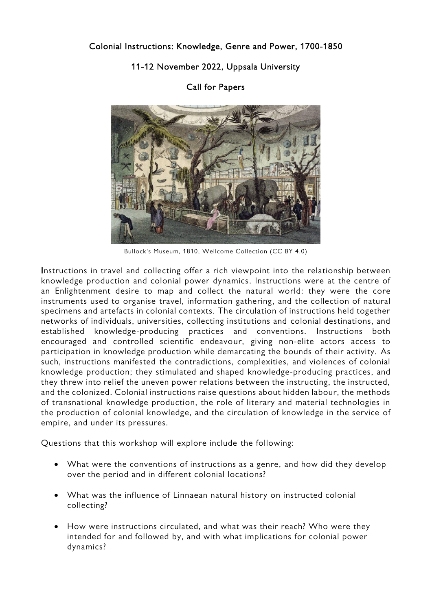## Colonial Instructions: Knowledge, Genre and Power, 1700-1850

## 11-12 November 2022, Uppsala University



## Call for Papers

Bullock's Museum, 1810, Wellcome Collection (CC BY 4.0)

Instructions in travel and collecting offer a rich viewpoint into the relationship between knowledge production and colonial power dynamics. Instructions were at the centre of an Enlightenment desire to map and collect the natural world: they were the core instruments used to organise travel, information gathering, and the collection of natural specimens and artefacts in colonial contexts. The circulation of instructions held together networks of individuals, universities, collecting institutions and colonial destinations, and established knowledge-producing practices and conventions. Instructions both encouraged and controlled scientific endeavour, giving non-elite actors access to participation in knowledge production while demarcating the bounds of their activity. As such, instructions manifested the contradictions, complexities, and violences of colonial knowledge production; they stimulated and shaped knowledge-producing practices, and they threw into relief the uneven power relations between the instructing, the instructed, and the colonized. Colonial instructions raise questions about hidden labour, the methods of transnational knowledge production, the role of literary and material technologies in the production of colonial knowledge, and the circulation of knowledge in the service of empire, and under its pressures.

Questions that this workshop will explore include the following:

- What were the conventions of instructions as a genre, and how did they develop over the period and in different colonial locations?
- What was the influence of Linnaean natural history on instructed colonial collecting?
- How were instructions circulated, and what was their reach? Who were they intended for and followed by, and with what implications for colonial power dynamics?